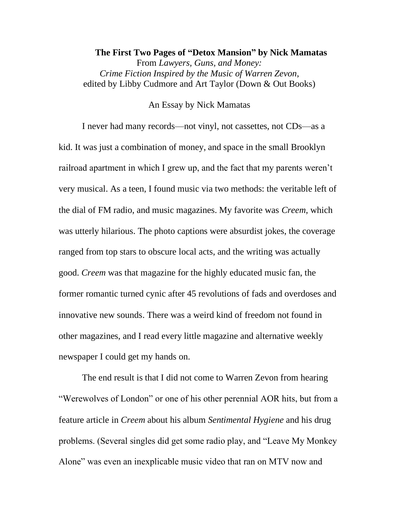## **The First Two Pages of "Detox Mansion" by Nick Mamatas** From *Lawyers, Guns, and Money: Crime Fiction Inspired by the Music of Warren Zevon*, edited by Libby Cudmore and Art Taylor (Down & Out Books)

## An Essay by Nick Mamatas

I never had many records—not vinyl, not cassettes, not CDs—as a kid. It was just a combination of money, and space in the small Brooklyn railroad apartment in which I grew up, and the fact that my parents weren't very musical. As a teen, I found music via two methods: the veritable left of the dial of FM radio, and music magazines. My favorite was *Creem*, which was utterly hilarious. The photo captions were absurdist jokes, the coverage ranged from top stars to obscure local acts, and the writing was actually good. *Creem* was that magazine for the highly educated music fan, the former romantic turned cynic after 45 revolutions of fads and overdoses and innovative new sounds. There was a weird kind of freedom not found in other magazines, and I read every little magazine and alternative weekly newspaper I could get my hands on.

The end result is that I did not come to Warren Zevon from hearing "Werewolves of London" or one of his other perennial AOR hits, but from a feature article in *Creem* about his album *Sentimental Hygiene* and his drug problems. (Several singles did get some radio play, and "Leave My Monkey Alone" was even an inexplicable music video that ran on MTV now and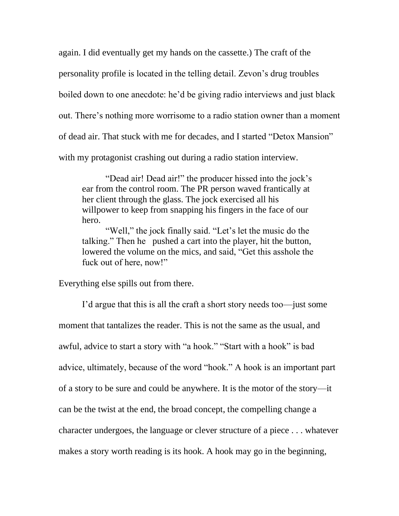again. I did eventually get my hands on the cassette.) The craft of the personality profile is located in the telling detail. Zevon's drug troubles boiled down to one anecdote: he'd be giving radio interviews and just black out. There's nothing more worrisome to a radio station owner than a moment of dead air. That stuck with me for decades, and I started "Detox Mansion" with my protagonist crashing out during a radio station interview.

"Dead air! Dead air!" the producer hissed into the jock's ear from the control room. The PR person waved frantically at her client through the glass. The jock exercised all his willpower to keep from snapping his fingers in the face of our hero.

"Well," the jock finally said. "Let's let the music do the talking." Then he pushed a cart into the player, hit the button, lowered the volume on the mics, and said, "Get this asshole the fuck out of here, now!"

Everything else spills out from there.

I'd argue that this is all the craft a short story needs too—just some moment that tantalizes the reader. This is not the same as the usual, and awful, advice to start a story with "a hook." "Start with a hook" is bad advice, ultimately, because of the word "hook." A hook is an important part of a story to be sure and could be anywhere. It is the motor of the story—it can be the twist at the end, the broad concept, the compelling change a character undergoes, the language or clever structure of a piece . . . whatever makes a story worth reading is its hook. A hook may go in the beginning,